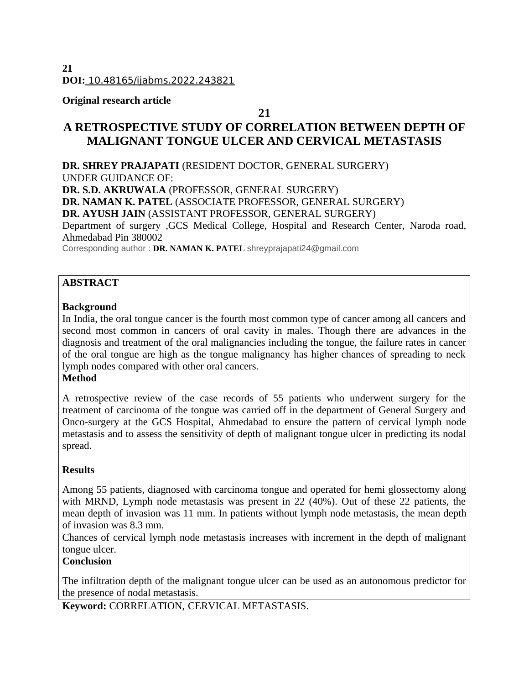## **Original research article**

## **21**

## **A RETROSPECTIVE STUDY OF CORRELATION BETWEEN DEPTH OF MALIGNANT TONGUE ULCER AND CERVICAL METASTASIS**

**DR. SHREY PRAJAPATI** (RESIDENT DOCTOR, GENERAL SURGERY) UNDER GUIDANCE OF: **DR. S.D. AKRUWALA** (PROFESSOR, GENERAL SURGERY) **DR. NAMAN K. PATEL** (ASSOCIATE PROFESSOR, GENERAL SURGERY) **DR. AYUSH JAIN** (ASSISTANT PROFESSOR, GENERAL SURGERY) Department of surgery ,GCS Medical College, Hospital and Research Center, Naroda road, Ahmedabad Pin 380002 Corresponding author : **DR. NAMAN K. PATEL** shreyprajapati24@gmail.com

## **ABSTRACT**

## **Background**

In India, the oral tongue cancer is the fourth most common type of cancer among all cancers and second most common in cancers of oral cavity in males. Though there are advances in the diagnosis and treatment of the oral malignancies including the tongue, the failure rates in cancer of the oral tongue are high as the tongue malignancy has higher chances of spreading to neck lymph nodes compared with other oral cancers.

## **Method**

A retrospective review of the case records of 55 patients who underwent surgery for the treatment of carcinoma of the tongue was carried off in the department of General Surgery and Onco-surgery at the GCS Hospital, Ahmedabad to ensure the pattern of cervical lymph node metastasis and to assess the sensitivity of depth of malignant tongue ulcer in predicting its nodal spread.

## **Results**

Among 55 patients, diagnosed with carcinoma tongue and operated for hemi glossectomy along with MRND, Lymph node metastasis was present in 22 (40%). Out of these 22 patients, the mean depth of invasion was 11 mm. In patients without lymph node metastasis, the mean depth of invasion was 8.3 mm.

Chances of cervical lymph node metastasis increases with increment in the depth of malignant tongue ulcer.

## **Conclusion**

The infiltration depth of the malignant tongue ulcer can be used as an autonomous predictor for the presence of nodal metastasis.

**Keyword:** CORRELATION, CERVICAL METASTASIS.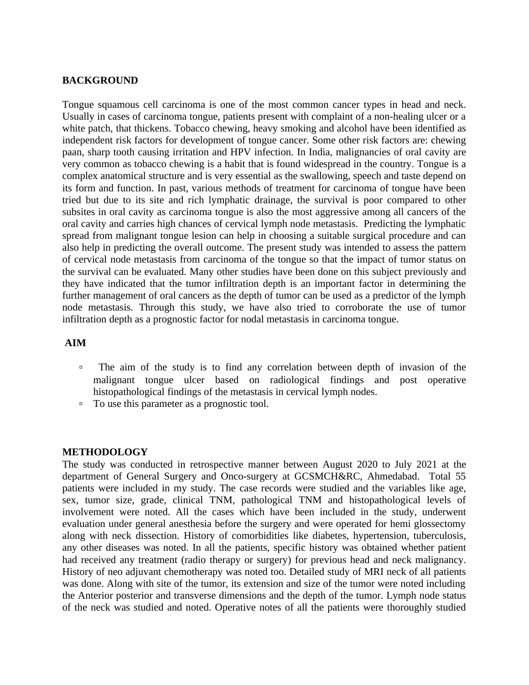#### **BACKGROUND**

Tongue squamous cell carcinoma is one of the most common cancer types in head and neck. Usually in cases of carcinoma tongue, patients present with complaint of a non-healing ulcer or a white patch, that thickens. Tobacco chewing, heavy smoking and alcohol have been identified as independent risk factors for development of tongue cancer. Some other risk factors are: chewing paan, sharp tooth causing irritation and HPV infection. In India, malignancies of oral cavity are very common as tobacco chewing is a habit that is found widespread in the country. Tongue is a complex anatomical structure and is very essential as the swallowing, speech and taste depend on its form and function. In past, various methods of treatment for carcinoma of tongue have been tried but due to its site and rich lymphatic drainage, the survival is poor compared to other subsites in oral cavity as carcinoma tongue is also the most aggressive among all cancers of the oral cavity and carries high chances of cervical lymph node metastasis. Predicting the lymphatic spread from malignant tongue lesion can help in choosing a suitable surgical procedure and can also help in predicting the overall outcome. The present study was intended to assess the pattern of cervical node metastasis from carcinoma of the tongue so that the impact of tumor status on the survival can be evaluated. Many other studies have been done on this subject previously and they have indicated that the tumor infiltration depth is an important factor in determining the further management of oral cancers as the depth of tumor can be used as a predictor of the lymph node metastasis. Through this study, we have also tried to corroborate the use of tumor infiltration depth as a prognostic factor for nodal metastasis in carcinoma tongue.

#### **AIM**

- □ The aim of the study is to find any correlation between depth of invasion of the malignant tongue ulcer based on radiological findings and post operative histopathological findings of the metastasis in cervical lymph nodes.
- To use this parameter as a prognostic tool.

#### **METHODOLOGY**

The study was conducted in retrospective manner between August 2020 to July 2021 at the department of General Surgery and Onco-surgery at GCSMCH&RC, Ahmedabad. Total 55 patients were included in my study. The case records were studied and the variables like age, sex, tumor size, grade, clinical TNM, pathological TNM and histopathological levels of involvement were noted. All the cases which have been included in the study, underwent evaluation under general anesthesia before the surgery and were operated for hemi glossectomy along with neck dissection. History of comorbidities like diabetes, hypertension, tuberculosis, any other diseases was noted. In all the patients, specific history was obtained whether patient had received any treatment (radio therapy or surgery) for previous head and neck malignancy. History of neo adjuvant chemotherapy was noted too. Detailed study of MRI neck of all patients was done. Along with site of the tumor, its extension and size of the tumor were noted including the Anterior posterior and transverse dimensions and the depth of the tumor. Lymph node status of the neck was studied and noted. Operative notes of all the patients were thoroughly studied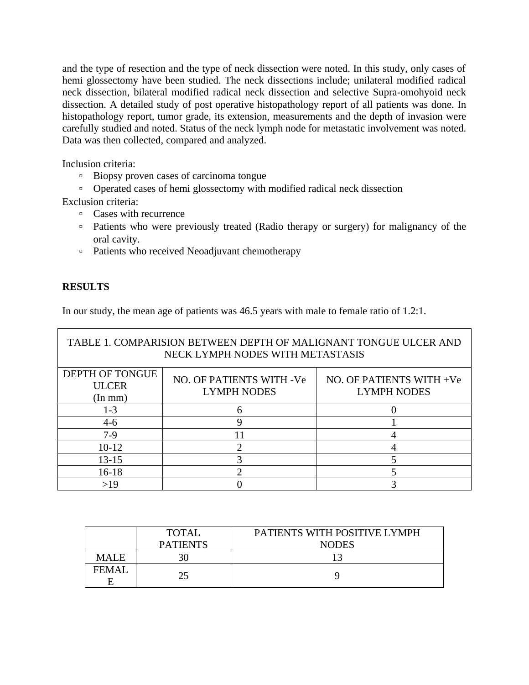and the type of resection and the type of neck dissection were noted. In this study, only cases of hemi glossectomy have been studied. The neck dissections include; unilateral modified radical neck dissection, bilateral modified radical neck dissection and selective Supra-omohyoid neck dissection. A detailed study of post operative histopathology report of all patients was done. In histopathology report, tumor grade, its extension, measurements and the depth of invasion were carefully studied and noted. Status of the neck lymph node for metastatic involvement was noted. Data was then collected, compared and analyzed.

Inclusion criteria:

- Biopsy proven cases of carcinoma tongue
- Operated cases of hemi glossectomy with modified radical neck dissection

Exclusion criteria:

- Cases with recurrence
- Patients who were previously treated (Radio therapy or surgery) for malignancy of the oral cavity.
- Patients who received Neoadjuvant chemotherapy

## **RESULTS**

In our study, the mean age of patients was 46.5 years with male to female ratio of 1.2:1.

| TABLE 1. COMPARISION BETWEEN DEPTH OF MALIGNANT TONGUE ULCER AND<br>NECK LYMPH NODES WITH METASTASIS |                          |                          |  |  |
|------------------------------------------------------------------------------------------------------|--------------------------|--------------------------|--|--|
| <b>DEPTH OF TONGUE</b><br><b>ULCER</b>                                                               | NO. OF PATIENTS WITH -Ve | NO. OF PATIENTS WITH +Ve |  |  |
| (In mm)                                                                                              | <b>LYMPH NODES</b>       | <b>LYMPH NODES</b>       |  |  |
| $1 - 3$                                                                                              |                          |                          |  |  |
| $4-6$                                                                                                | q                        |                          |  |  |
| $7-9$                                                                                                |                          |                          |  |  |
| $10 - 12$                                                                                            |                          |                          |  |  |
| $13 - 15$                                                                                            |                          |                          |  |  |
| 16-18                                                                                                |                          |                          |  |  |
| >19                                                                                                  |                          |                          |  |  |

|              | TOTAL           | PATIENTS WITH POSITIVE LYMPH |
|--------------|-----------------|------------------------------|
|              | <b>PATIENTS</b> | <b>NODES</b>                 |
| <b>MALE</b>  |                 |                              |
| <b>FEMAI</b> | 25              |                              |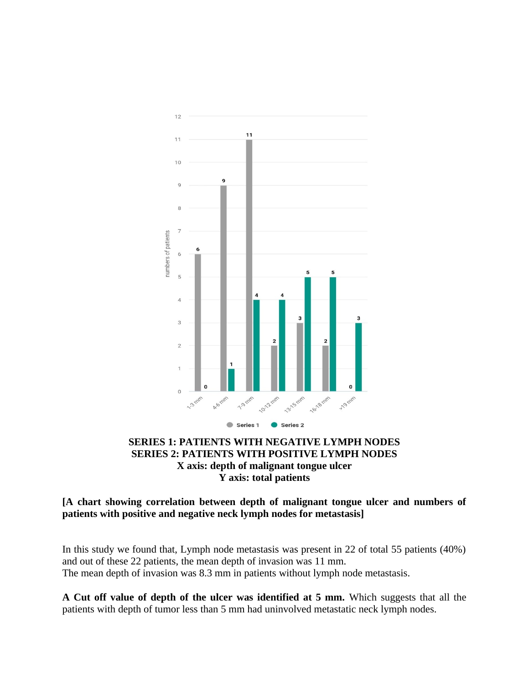

## **SERIES 1: PATIENTS WITH NEGATIVE LYMPH NODES SERIES 2: PATIENTS WITH POSITIVE LYMPH NODES X axis: depth of malignant tongue ulcer Y axis: total patients**

**[A chart showing correlation between depth of malignant tongue ulcer and numbers of patients with positive and negative neck lymph nodes for metastasis]**

In this study we found that, Lymph node metastasis was present in 22 of total 55 patients (40%) and out of these 22 patients, the mean depth of invasion was 11 mm. The mean depth of invasion was 8.3 mm in patients without lymph node metastasis.

**A Cut off value of depth of the ulcer was identified at 5 mm.** Which suggests that all the patients with depth of tumor less than 5 mm had uninvolved metastatic neck lymph nodes.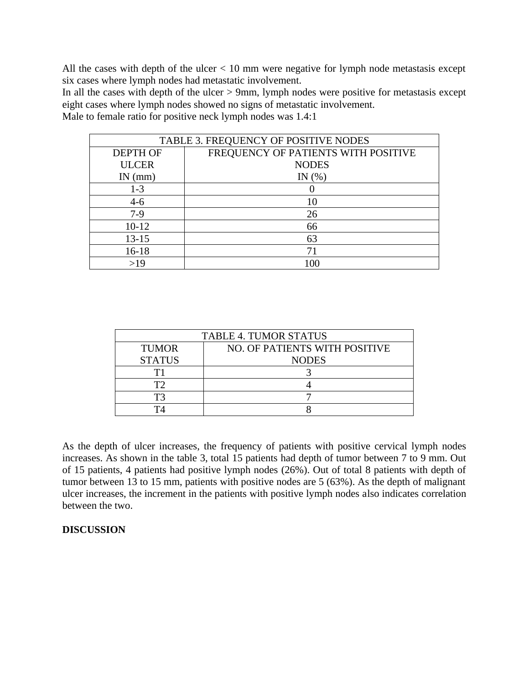All the cases with depth of the ulcer < 10 mm were negative for lymph node metastasis except six cases where lymph nodes had metastatic involvement.

In all the cases with depth of the ulcer > 9mm, lymph nodes were positive for metastasis except eight cases where lymph nodes showed no signs of metastatic involvement.

Male to female ratio for positive neck lymph nodes was 1.4:1

| TABLE 3. FREQUENCY OF POSITIVE NODES |                                     |  |
|--------------------------------------|-------------------------------------|--|
| <b>DEPTH OF</b>                      | FREQUENCY OF PATIENTS WITH POSITIVE |  |
| <b>ULCER</b>                         | <b>NODES</b>                        |  |
| $IN$ (mm)                            | IN $(\%)$                           |  |
| $1 - 3$                              |                                     |  |
| $4-6$                                | 10                                  |  |
| $7-9$                                | 26                                  |  |
| $10 - 12$                            | 66                                  |  |
| 13-15                                | 63                                  |  |
| 16-18                                | 71                                  |  |
| >19                                  | 100                                 |  |

| <b>TABLE 4. TUMOR STATUS</b> |                               |  |
|------------------------------|-------------------------------|--|
| <b>TUMOR</b>                 | NO. OF PATIENTS WITH POSITIVE |  |
| <b>STATUS</b>                | <b>NODES</b>                  |  |
|                              |                               |  |
| ГЭ                           |                               |  |
| ፐገ                           |                               |  |
|                              |                               |  |

As the depth of ulcer increases, the frequency of patients with positive cervical lymph nodes increases. As shown in the table 3, total 15 patients had depth of tumor between 7 to 9 mm. Out of 15 patients, 4 patients had positive lymph nodes (26%). Out of total 8 patients with depth of tumor between 13 to 15 mm, patients with positive nodes are 5 (63%). As the depth of malignant ulcer increases, the increment in the patients with positive lymph nodes also indicates correlation between the two.

## **DISCUSSION**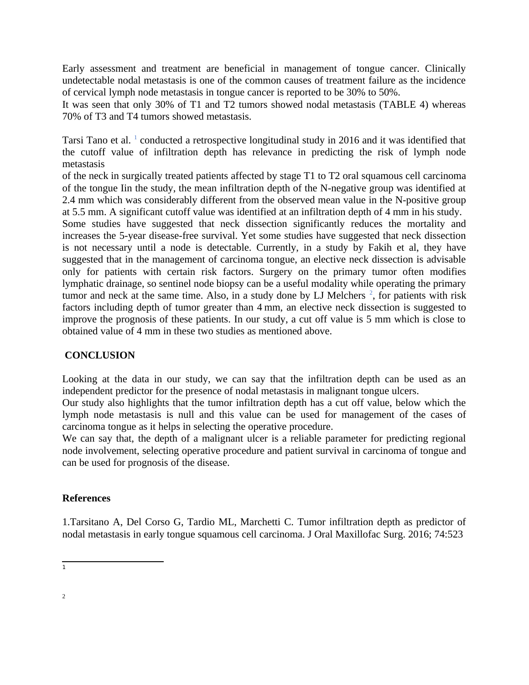Early assessment and treatment are beneficial in management of tongue cancer. Clinically undetectable nodal metastasis is one of the common causes of treatment failure as the incidence of cervical lymph node metastasis in tongue cancer is reported to be 30% to 50%.

It was seen that only 30% of T1 and T2 tumors showed nodal metastasis (TABLE 4) whereas 70% of T3 and T4 tumors showed metastasis.

Tarsi Tano et al.  $^1$  $^1$  conducted a retrospective longitudinal study in 2016 and it was identified that the cutoff value of infiltration depth has relevance in predicting the risk of lymph node metastasis

of the neck in surgically treated patients affected by stage T1 to T2 oral squamous cell carcinoma of the tongue Iin the study, the mean infiltration depth of the N-negative group was identified at 2.4 mm which was considerably different from the observed mean value in the N-positive group at 5.5 mm. A significant cutoff value was identified at an infiltration depth of 4 mm in his study.

Some studies have suggested that neck dissection significantly reduces the mortality and increases the 5-year disease-free survival. Yet some studies have suggested that neck dissection is not necessary until a node is detectable. Currently, in a study by Fakih et al, they have suggested that in the management of carcinoma tongue, an elective neck dissection is advisable only for patients with certain risk factors. Surgery on the primary tumor often modifies lymphatic drainage, so sentinel node biopsy can be a useful modality while operating the primary tumor and neck at the same time. Also, in a study done by LJ Melchers  $2$ , for patients with risk factors including depth of tumor greater than 4 mm, an elective neck dissection is suggested to improve the prognosis of these patients. In our study, a cut off value is 5 mm which is close to obtained value of 4 mm in these two studies as mentioned above.

## **CONCLUSION**

Looking at the data in our study, we can say that the infiltration depth can be used as an independent predictor for the presence of nodal metastasis in malignant tongue ulcers.

Our study also highlights that the tumor infiltration depth has a cut off value, below which the lymph node metastasis is null and this value can be used for management of the cases of carcinoma tongue as it helps in selecting the operative procedure.

We can say that, the depth of a malignant ulcer is a reliable parameter for predicting regional node involvement, selecting operative procedure and patient survival in carcinoma of tongue and can be used for prognosis of the disease.

#### **References**

1.Tarsitano A, Del Corso G, Tardio ML, Marchetti C. Tumor infiltration depth as predictor of nodal metastasis in early tongue squamous cell carcinoma. J Oral Maxillofac Surg. 2016; 74:523

<span id="page-5-1"></span><span id="page-5-0"></span> $\overline{1}$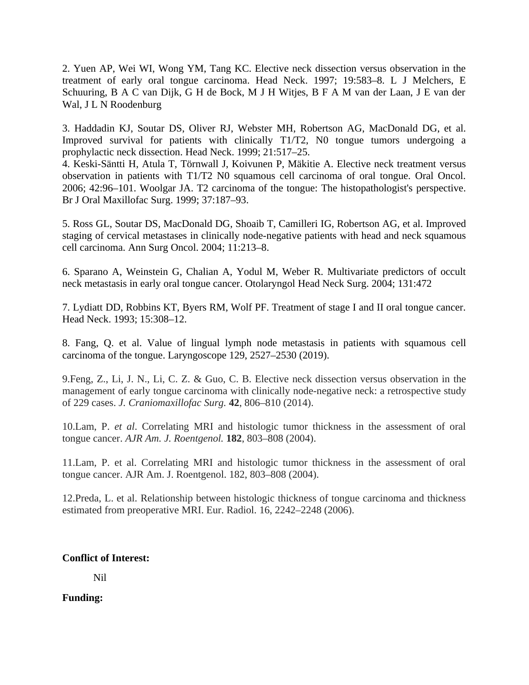2. Yuen AP, Wei WI, Wong YM, Tang KC. Elective neck dissection versus observation in the treatment of early oral tongue carcinoma. Head Neck. 1997; 19:583–8. L J Melchers, E Schuuring, B A C van Dijk, G H de Bock, M J H Witjes, B F A M van der Laan, J E van der Wal, J L N Roodenburg

3. Haddadin KJ, Soutar DS, Oliver RJ, Webster MH, Robertson AG, MacDonald DG, et al. Improved survival for patients with clinically T1/T2, N0 tongue tumors undergoing a prophylactic neck dissection. Head Neck. 1999; 21:517–25.

4. Keski-Säntti H, Atula T, Törnwall J, Koivunen P, Mäkitie A. Elective neck treatment versus observation in patients with T1/T2 N0 squamous cell carcinoma of oral tongue. Oral Oncol. 2006; 42:96–101. Woolgar JA. T2 carcinoma of the tongue: The histopathologist's perspective. Br J Oral Maxillofac Surg. 1999; 37:187–93.

5. Ross GL, Soutar DS, MacDonald DG, Shoaib T, Camilleri IG, Robertson AG, et al. Improved staging of cervical metastases in clinically node-negative patients with head and neck squamous cell carcinoma. Ann Surg Oncol. 2004; 11:213–8.

6. Sparano A, Weinstein G, Chalian A, Yodul M, Weber R. Multivariate predictors of occult neck metastasis in early oral tongue cancer. Otolaryngol Head Neck Surg. 2004; 131:472

7. Lydiatt DD, Robbins KT, Byers RM, Wolf PF. Treatment of stage I and II oral tongue cancer. Head Neck. 1993; 15:308–12.

8. Fang, Q. et al. Value of lingual lymph node metastasis in patients with squamous cell carcinoma of the tongue. Laryngoscope 129, 2527–2530 (2019).

9.Feng, Z., Li, J. N., Li, C. Z. & Guo, C. B. Elective neck dissection versus observation in the management of early tongue carcinoma with clinically node-negative neck: a retrospective study of 229 cases. *J. Craniomaxillofac Surg.* **42**, 806–810 (2014).

10.Lam, P. *et al*. Correlating MRI and histologic tumor thickness in the assessment of oral tongue cancer. *AJR Am. J. Roentgenol.* **182**, 803–808 (2004).

11.Lam, P. et al. Correlating MRI and histologic tumor thickness in the assessment of oral tongue cancer. AJR Am. J. Roentgenol. 182, 803–808 (2004).

12.Preda, L. et al. Relationship between histologic thickness of tongue carcinoma and thickness estimated from preoperative MRI. Eur. Radiol. 16, 2242–2248 (2006).

## **Conflict of Interest:**

Nil

**Funding:**